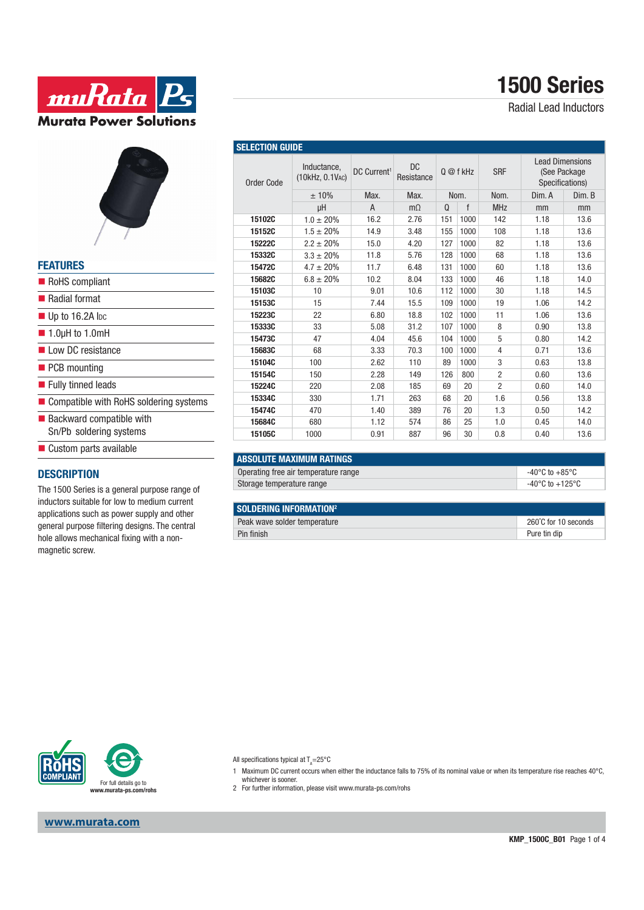# **1500 Series**

Radial Lead Inductors





### **FEATURES**

| RoHS compliant                           |
|------------------------------------------|
| ■ Radial format                          |
| $\blacksquare$ Up to 16.2A lpc           |
| $\blacksquare$ 1.0µH to 1.0mH            |
| Low DC resistance                        |
| $\blacksquare$ PCB mounting              |
| ■ Fully tinned leads                     |
| ■ Compatible with RoHS soldering systems |
| $\blacksquare$ Backward compatible with  |
| Sn/Pb soldering systems                  |
| ■ Custom parts available                 |

#### **DESCRIPTION**

The 1500 Series is a general purpose range of inductors suitable for low to medium current applications such as power supply and other general purpose filtering designs. The central hole allows mechanical fixing with a nonmagnetic screw.

| <b>OLLLUTION GUIDL</b> |                                |                         |                         |          |      |                |                                                           |        |
|------------------------|--------------------------------|-------------------------|-------------------------|----------|------|----------------|-----------------------------------------------------------|--------|
| <b>Order Code</b>      | Inductance,<br>(10kHz, 0.1VAC) | DC Current <sup>1</sup> | <b>DC</b><br>Resistance | 0@fkHz   |      | <b>SRF</b>     | <b>Lead Dimensions</b><br>(See Package<br>Specifications) |        |
|                        | ±10%                           | Max.                    | Max.                    | Nom.     |      | Nom.           | Dim. A                                                    | Dim. B |
|                        | μH                             | A                       | $m\Omega$               | $\Omega$ | f    | <b>MHz</b>     | mm                                                        | mm     |
| 15102C                 | $1.0 \pm 20\%$                 | 16.2                    | 2.76                    | 151      | 1000 | 142            | 1.18                                                      | 13.6   |
| 15152C                 | $1.5 \pm 20\%$                 | 14.9                    | 3.48                    | 155      | 1000 | 108            | 1.18                                                      | 13.6   |
| <b>15222C</b>          | $2.2 \pm 20\%$                 | 15.0                    | 4.20                    | 127      | 1000 | 82             | 1.18                                                      | 13.6   |
| 15332C                 | $3.3 \pm 20\%$                 | 11.8                    | 5.76                    | 128      | 1000 | 68             | 1.18                                                      | 13.6   |
| 15472C                 | $4.7 \pm 20\%$                 | 11.7                    | 6.48                    | 131      | 1000 | 60             | 1.18                                                      | 13.6   |
| 15682C                 | $6.8 \pm 20\%$                 | 10.2                    | 8.04                    | 133      | 1000 | 46             | 1.18                                                      | 14.0   |
| 15103C                 | 10                             | 9.01                    | 10.6                    | 112      | 1000 | 30             | 1.18                                                      | 14.5   |
| 15153C                 | 15                             | 7.44                    | 15.5                    | 109      | 1000 | 19             | 1.06                                                      | 14.2   |
| 15223C                 | 22                             | 6.80                    | 18.8                    | 102      | 1000 | 11             | 1.06                                                      | 13.6   |
| 15333C                 | 33                             | 5.08                    | 31.2                    | 107      | 1000 | 8              | 0.90                                                      | 13.8   |
| 15473C                 | 47                             | 4.04                    | 45.6                    | 104      | 1000 | 5              | 0.80                                                      | 14.2   |
| 15683C                 | 68                             | 3.33                    | 70.3                    | 100      | 1000 | 4              | 0.71                                                      | 13.6   |
| 15104C                 | 100                            | 2.62                    | 110                     | 89       | 1000 | 3              | 0.63                                                      | 13.8   |
| 15154C                 | 150                            | 2.28                    | 149                     | 126      | 800  | $\overline{2}$ | 0.60                                                      | 13.6   |
| 15224C                 | 220                            | 2.08                    | 185                     | 69       | 20   | $\overline{c}$ | 0.60                                                      | 14.0   |
| 15334C                 | 330                            | 1.71                    | 263                     | 68       | 20   | 1.6            | 0.56                                                      | 13.8   |
| 15474C                 | 470                            | 1.40                    | 389                     | 76       | 20   | 1.3            | 0.50                                                      | 14.2   |
| 15684C                 | 680                            | 1.12                    | 574                     | 86       | 25   | 1.0            | 0.45                                                      | 14.0   |
| 15105C                 | 1000                           | 0.91                    | 887                     | 96       | 30   | 0.8            | 0.40                                                      | 13.6   |

| <b>LABSOLUTE MAXIMUM RATINGS</b>     |                          |
|--------------------------------------|--------------------------|
| Operating free air temperature range | -40°C to $+85^{\circ}$ C |
| Storage temperature range            | -40°C to +125°C          |

#### **SOLDERING INFORMATION2**

**SELECTION GUIDE** 

| Peak wave solder temperature | 260°C for 10 seconds |
|------------------------------|----------------------|
| Pin finish                   | Pure tin dip         |



**www.murata.com**

All specifications typical at T<sub>A</sub>=25°C

- 1 Maximum DC current occurs when either the inductance falls to 75% of its nominal value or when its temperature rise reaches 40°C, whichever is sooner.
- 2 For further information, please visit www.murata-ps.com/rohs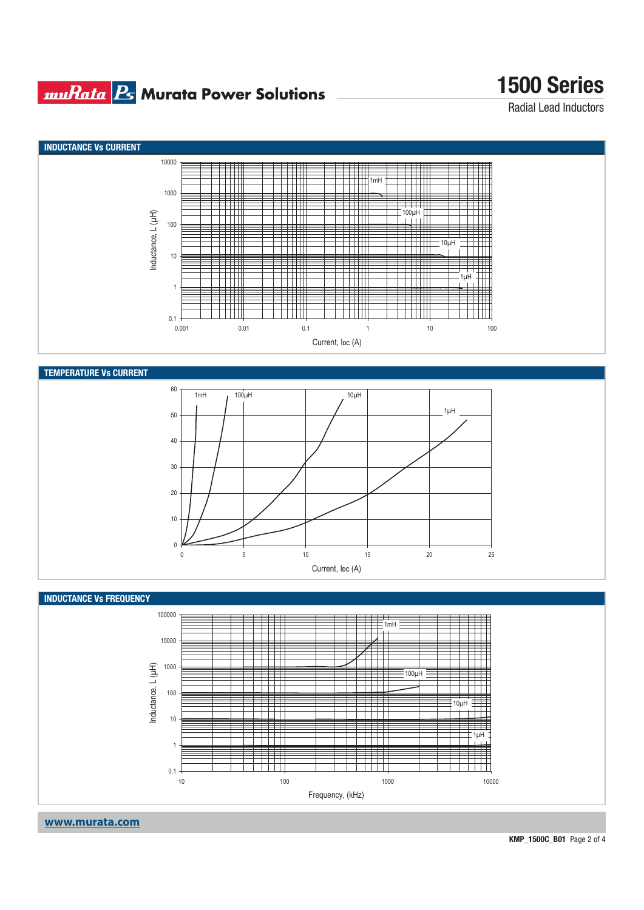## **muRata Ps** Murata Power Solutions

# **1500 Series**

Radial Lead Inductors

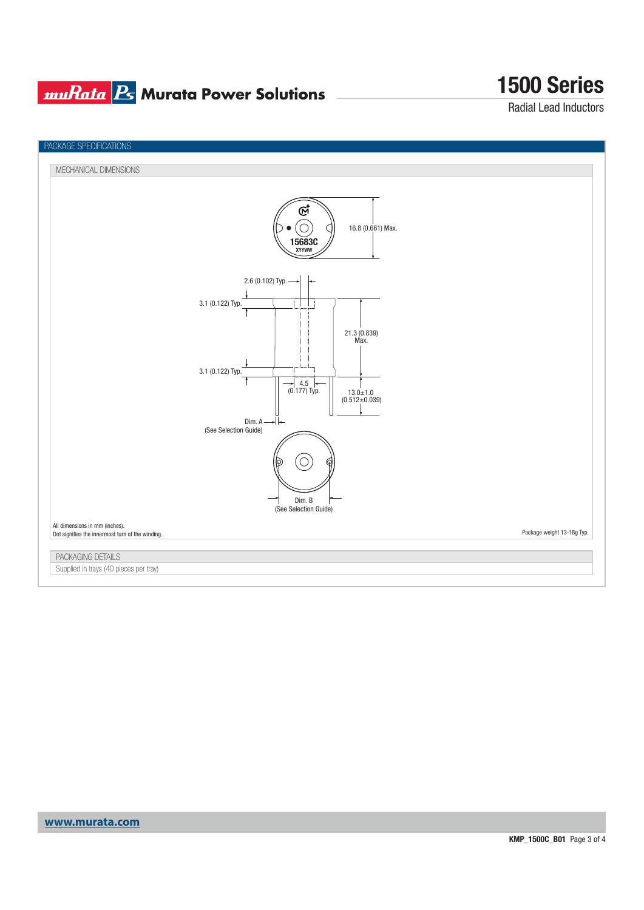## **muRata B** Murata Power Solutions

# **1500 Series**

Radial Lead Inductors